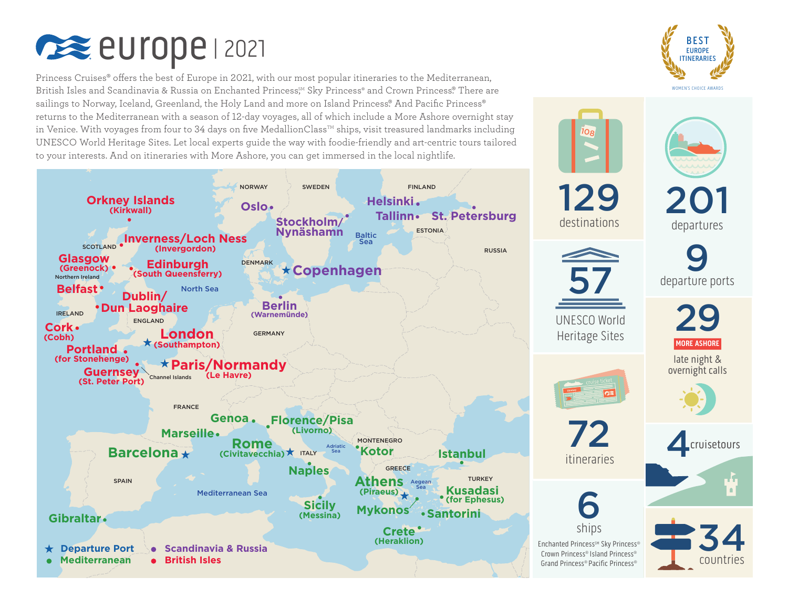

Princess Cruises® offers the best of Europe in 2021, with our most popular itineraries to the Mediterranean, British Isles and Scandinavia & Russia on Enchanted Princess<sup>8M</sup> Sky Princess® and Crown Princess® There are sailings to Norway, Iceland, Greenland, the Holy Land and more on Island Princess. And Pacific Princess® returns to the Mediterranean with a season of 12-day voyages, all of which include a More Ashore overnight stay in Venice. With voyages from four to 34 days on five MedallionClass<sup>TM</sup> ships, visit treasured landmarks including UNESCO World Heritage Sites. Let local experts guide the way with foodie-friendly and art-centric tours tailored to your interests. And on itineraries with More Ashore, you can get immersed in the local nightlife.







UNESCO World Heritage Sites



72

108

129

destinations



Enchanted Princess<sup>®M</sup> Sky Princess® Crown Princess® Island Princess® Grand Princess® Pacific Princess®



late night & overnight calls



itineraries **4.** Cruisetours



34 countries